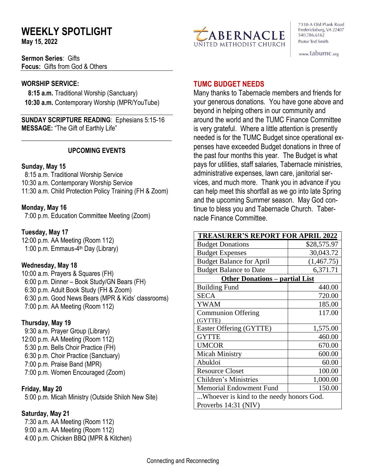# **WEEKLY SPOTLIGHT**

**May 15, 2022** 

**Sermon Series**: Gifts **Focus:** Gifts from God & Others

#### **WORSHIP SERVICE:**

 **8:15 a.m.** Traditional Worship (Sanctuary)  **10:30 a.m.** Contemporary Worship (MPR/YouTube)

**SUNDAY SCRIPTURE READING**: Ephesians 5:15-16 **MESSAGE:** "The Gift of Earthly Life"

### **UPCOMING EVENTS**

\_\_\_\_\_\_\_\_\_\_\_\_\_\_\_\_\_\_\_\_\_\_\_\_\_\_\_\_\_\_\_\_\_\_\_\_\_\_\_\_\_\_\_\_\_\_

#### **Sunday, May 15**

8:15 a.m. Traditional Worship Service 10:30 a.m. Contemporary Worship Service 11:30 a.m. Child Protection Policy Training (FH & Zoom)

### **Monday, May 16**

7:00 p.m. Education Committee Meeting (Zoom)

### **Tuesday, May 17**

12:00 p.m. AA Meeting (Room 112) 1:00 p.m. Emmaus-4<sup>th</sup> Day (Library)

### **Wednesday, May 18**

10:00 a.m. Prayers & Squares (FH) 6:00 p.m. Dinner – Book Study/GN Bears (FH) 6:30 p.m. Adult Book Study (FH & Zoom) 6:30 p.m. Good News Bears (MPR & Kids' classrooms) 7:00 p.m. AA Meeting (Room 112)

### **Thursday, May 19**

9:30 a.m. Prayer Group (Library) 12:00 p.m. AA Meeting (Room 112) 5:30 p.m. Bells Choir Practice (FH) 6:30 p.m. Choir Practice (Sanctuary) 7:00 p.m. Praise Band (MPR) 7:00 p.m. Women Encouraged (Zoom)

### **Friday, May 20**

5:00 p.m. Micah Ministry (Outside Shiloh New Site)

### **Saturday, May 21**

 7:30 a.m. AA Meeting (Room 112) 9:00 a.m. AA Meeting (Room 112) 4:00 p.m. Chicken BBQ (MPR & Kitchen)



7310-A Old Plank Road Fredericksburg, VA 22407 540.786.6162 Pastor Ted Smith

www.tabumc.org

## **TUMC BUDGET NEEDS**

Many thanks to Tabernacle members and friends for your generous donations. You have gone above and beyond in helping others in our community and around the world and the TUMC Finance Committee is very grateful. Where a little attention is presently needed is for the TUMC Budget since operational expenses have exceeded Budget donations in three of the past four months this year. The Budget is what pays for utilities, staff salaries, Tabernacle ministries, administrative expenses, lawn care, janitorial services, and much more. Thank you in advance if you can help meet this shortfall as we go into late Spring and the upcoming Summer season. May God continue to bless you and Tabernacle Church. Tabernacle Finance Committee.

| <b>TREASURER'S REPORT FOR APRIL 2022</b> |             |
|------------------------------------------|-------------|
| <b>Budget Donations</b>                  | \$28,575.97 |
| <b>Budget Expenses</b>                   | 30,043.72   |
| <b>Budget Balance for April</b>          | (1,467.75)  |
| <b>Budget Balance to Date</b>            | 6,371.71    |
| <b>Other Donations – partial List</b>    |             |
| <b>Building Fund</b>                     | 440.00      |
| <b>SECA</b>                              | 720.00      |
| YWAM                                     | 185.00      |
| <b>Communion Offering</b>                | 117.00      |
| (GYTTE)                                  |             |
| Easter Offering (GYTTE)                  | 1,575.00    |
| <b>GYTTE</b>                             | 460.00      |
| <b>UMCOR</b>                             | 670.00      |
| <b>Micah Ministry</b>                    | 600.00      |
| Abukloi                                  | 60.00       |
| <b>Resource Closet</b>                   | 100.00      |
| <b>Children's Ministries</b>             | 1,000.00    |
| <b>Memorial Endowment Fund</b>           | 150.00      |
| Whoever is kind to the needy honors God. |             |
| Proverbs 14:31 (NIV)                     |             |